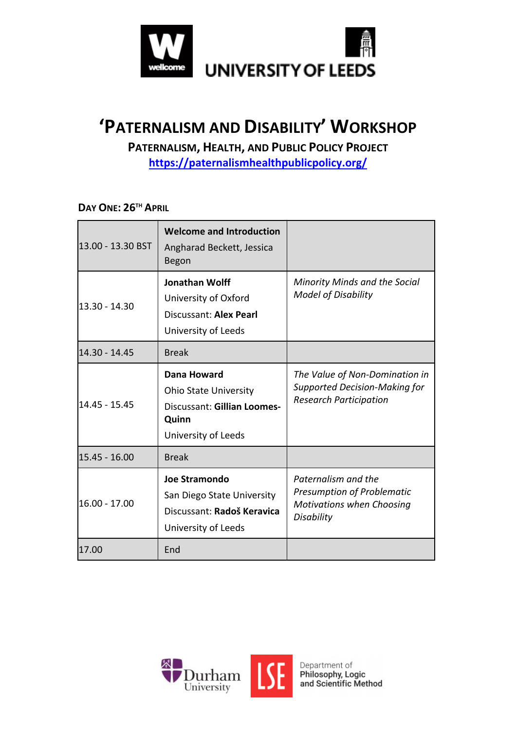

# **'PATERNALISM AND DISABILITY' WORKSHOP**

**PATERNALISM, HEALTH, AND PUBLIC POLICY PROJECT**

**https://paternalismhealthpublicpolicy.org/**

**DAY ONE: 26TH APRIL**

| 13.00 - 13.30 BST | <b>Welcome and Introduction</b><br>Angharad Beckett, Jessica<br>Begon                                      |                                                                                                         |
|-------------------|------------------------------------------------------------------------------------------------------------|---------------------------------------------------------------------------------------------------------|
| 13.30 - 14.30     | Jonathan Wolff<br>University of Oxford<br>Discussant: Alex Pearl<br>University of Leeds                    | Minority Minds and the Social<br><b>Model of Disability</b>                                             |
| 14.30 - 14.45     | <b>Break</b>                                                                                               |                                                                                                         |
| 14.45 - 15.45     | Dana Howard<br><b>Ohio State University</b><br>Discussant: Gillian Loomes-<br>Quinn<br>University of Leeds | The Value of Non-Domination in<br><b>Supported Decision-Making for</b><br><b>Research Participation</b> |
| 15.45 - 16.00     | <b>Break</b>                                                                                               |                                                                                                         |
| 16.00 - 17.00     | <b>Joe Stramondo</b><br>San Diego State University<br>Discussant: Radoš Keravica<br>University of Leeds    | Paternalism and the<br>Presumption of Problematic<br><b>Motivations when Choosing</b><br>Disability     |
| 17.00             | End                                                                                                        |                                                                                                         |

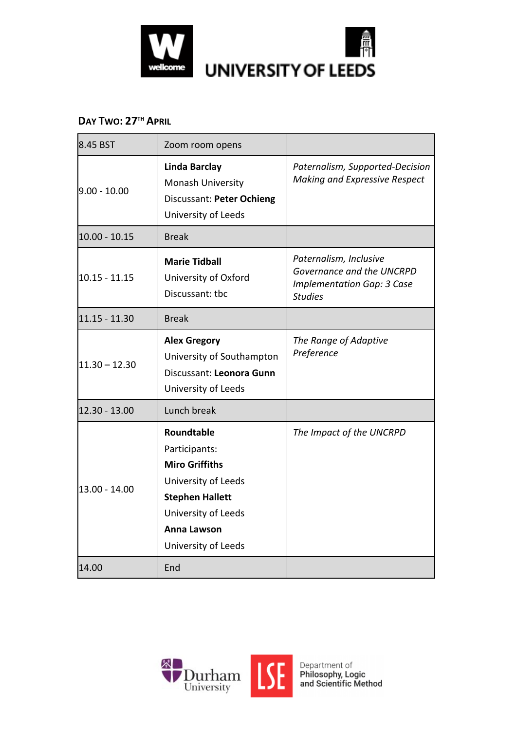

#### **DAY TWO: 27TH APRIL**

| 8.45 BST        | Zoom room opens                                                                                                                                                           |                                                                                                            |
|-----------------|---------------------------------------------------------------------------------------------------------------------------------------------------------------------------|------------------------------------------------------------------------------------------------------------|
| $9.00 - 10.00$  | <b>Linda Barclay</b><br><b>Monash University</b><br>Discussant: Peter Ochieng<br>University of Leeds                                                                      | Paternalism, Supported-Decision<br><b>Making and Expressive Respect</b>                                    |
| $10.00 - 10.15$ | <b>Break</b>                                                                                                                                                              |                                                                                                            |
| 10.15 - 11.15   | <b>Marie Tidball</b><br>University of Oxford<br>Discussant: tbc                                                                                                           | Paternalism, Inclusive<br>Governance and the UNCRPD<br><b>Implementation Gap: 3 Case</b><br><b>Studies</b> |
| 11.15 - 11.30   | <b>Break</b>                                                                                                                                                              |                                                                                                            |
| $11.30 - 12.30$ | <b>Alex Gregory</b><br>University of Southampton<br>Discussant: Leonora Gunn<br>University of Leeds                                                                       | The Range of Adaptive<br>Preference                                                                        |
| 12.30 - 13.00   | Lunch break                                                                                                                                                               |                                                                                                            |
| 13.00 - 14.00   | Roundtable<br>Participants:<br><b>Miro Griffiths</b><br>University of Leeds<br><b>Stephen Hallett</b><br>University of Leeds<br><b>Anna Lawson</b><br>University of Leeds | The Impact of the UNCRPD                                                                                   |
| 14.00           | End                                                                                                                                                                       |                                                                                                            |

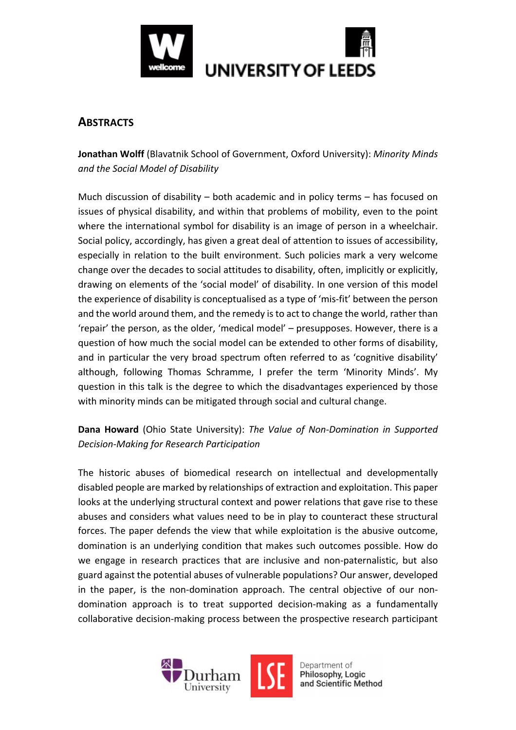

### **ABSTRACTS**

**Jonathan Wolff** (Blavatnik School of Government, Oxford University): *Minority Minds and the Social Model of Disability*

Much discussion of disability – both academic and in policy terms – has focused on issues of physical disability, and within that problems of mobility, even to the point where the international symbol for disability is an image of person in a wheelchair. Social policy, accordingly, has given a great deal of attention to issues of accessibility, especially in relation to the built environment. Such policies mark a very welcome change over the decades to social attitudes to disability, often, implicitly or explicitly, drawing on elements of the 'social model' of disability. In one version of this model the experience of disability is conceptualised as a type of 'mis-fit' between the person and the world around them, and the remedy is to act to change the world, rather than 'repair' the person, as the older, 'medical model' – presupposes. However, there is a question of how much the social model can be extended to other forms of disability, and in particular the very broad spectrum often referred to as 'cognitive disability' although, following Thomas Schramme, I prefer the term 'Minority Minds'. My question in this talk is the degree to which the disadvantages experienced by those with minority minds can be mitigated through social and cultural change.

#### **Dana Howard** (Ohio State University): *The Value of Non-Domination in Supported Decision-Making for Research Participation*

The historic abuses of biomedical research on intellectual and developmentally disabled people are marked by relationships of extraction and exploitation. This paper looks at the underlying structural context and power relations that gave rise to these abuses and considers what values need to be in play to counteract these structural forces. The paper defends the view that while exploitation is the abusive outcome, domination is an underlying condition that makes such outcomes possible. How do we engage in research practices that are inclusive and non-paternalistic, but also guard against the potential abuses of vulnerable populations? Our answer, developed in the paper, is the non-domination approach. The central objective of our nondomination approach is to treat supported decision-making as a fundamentally collaborative decision-making process between the prospective research participant

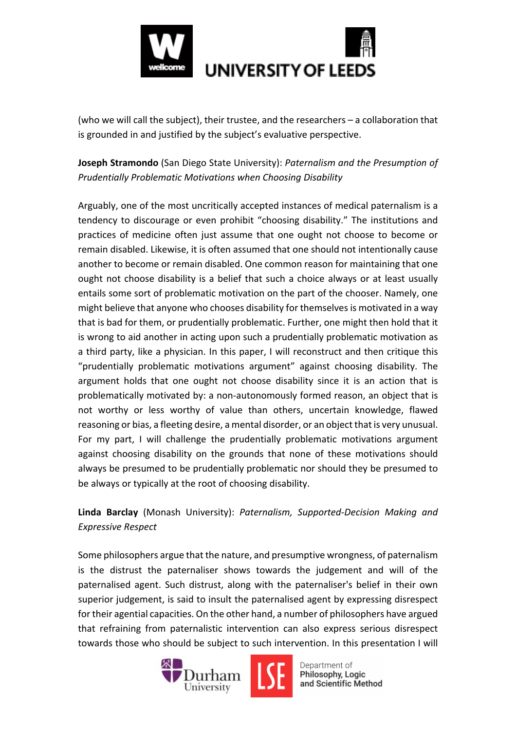

(who we will call the subject), their trustee, and the researchers – a collaboration that is grounded in and justified by the subject's evaluative perspective.

**Joseph Stramondo** (San Diego State University): *Paternalism and the Presumption of Prudentially Problematic Motivations when Choosing Disability* 

Arguably, one of the most uncritically accepted instances of medical paternalism is a tendency to discourage or even prohibit "choosing disability." The institutions and practices of medicine often just assume that one ought not choose to become or remain disabled. Likewise, it is often assumed that one should not intentionally cause another to become or remain disabled. One common reason for maintaining that one ought not choose disability is a belief that such a choice always or at least usually entails some sort of problematic motivation on the part of the chooser. Namely, one might believe that anyone who chooses disability for themselves is motivated in a way that is bad for them, or prudentially problematic. Further, one might then hold that it is wrong to aid another in acting upon such a prudentially problematic motivation as a third party, like a physician. In this paper, I will reconstruct and then critique this "prudentially problematic motivations argument" against choosing disability. The argument holds that one ought not choose disability since it is an action that is problematically motivated by: a non-autonomously formed reason, an object that is not worthy or less worthy of value than others, uncertain knowledge, flawed reasoning or bias, a fleeting desire, a mental disorder, or an object that is very unusual. For my part, I will challenge the prudentially problematic motivations argument against choosing disability on the grounds that none of these motivations should always be presumed to be prudentially problematic nor should they be presumed to be always or typically at the root of choosing disability.

#### **Linda Barclay** (Monash University): *Paternalism, Supported-Decision Making and Expressive Respect*

Some philosophers argue that the nature, and presumptive wrongness, of paternalism is the distrust the paternaliser shows towards the judgement and will of the paternalised agent. Such distrust, along with the paternaliser's belief in their own superior judgement, is said to insult the paternalised agent by expressing disrespect for their agential capacities. On the other hand, a number of philosophers have argued that refraining from paternalistic intervention can also express serious disrespect towards those who should be subject to such intervention. In this presentation I will



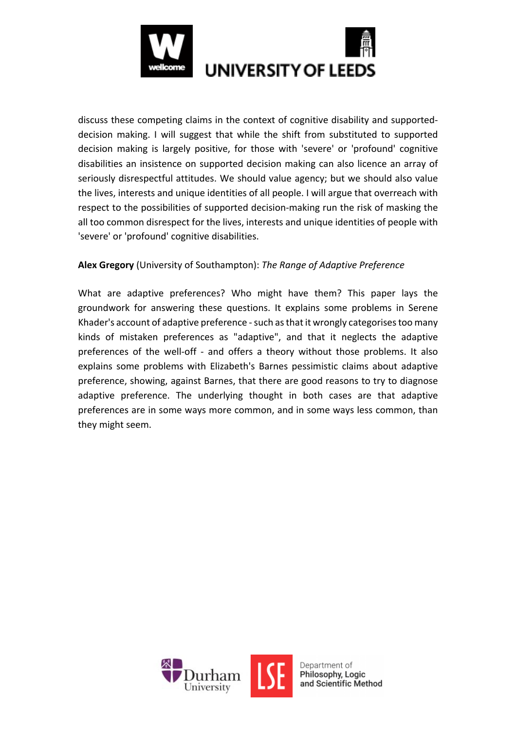

discuss these competing claims in the context of cognitive disability and supporteddecision making. I will suggest that while the shift from substituted to supported decision making is largely positive, for those with 'severe' or 'profound' cognitive disabilities an insistence on supported decision making can also licence an array of seriously disrespectful attitudes. We should value agency; but we should also value the lives, interests and unique identities of all people. I will argue that overreach with respect to the possibilities of supported decision-making run the risk of masking the all too common disrespect for the lives, interests and unique identities of people with 'severe' or 'profound' cognitive disabilities.

#### **Alex Gregory** (University of Southampton): *The Range of Adaptive Preference*

What are adaptive preferences? Who might have them? This paper lays the groundwork for answering these questions. It explains some problems in Serene Khader's account of adaptive preference - such as that it wrongly categorises too many kinds of mistaken preferences as "adaptive", and that it neglects the adaptive preferences of the well-off - and offers a theory without those problems. It also explains some problems with Elizabeth's Barnes pessimistic claims about adaptive preference, showing, against Barnes, that there are good reasons to try to diagnose adaptive preference. The underlying thought in both cases are that adaptive preferences are in some ways more common, and in some ways less common, than they might seem.

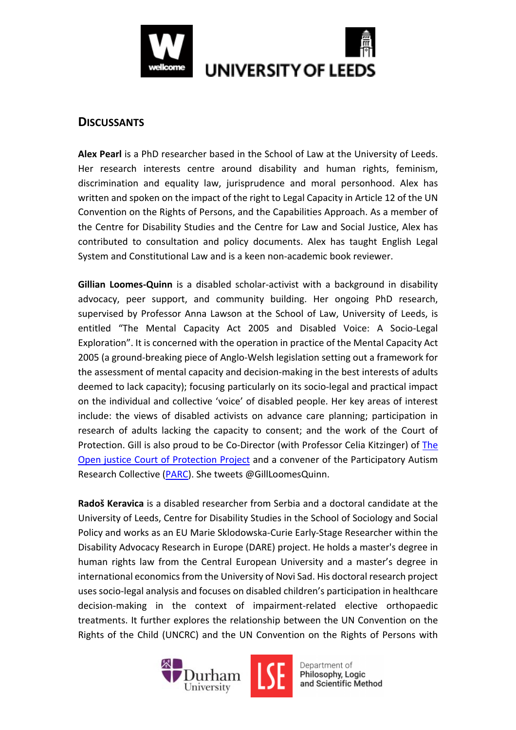

#### **DISCUSSANTS**

**Alex Pearl** is a PhD researcher based in the School of Law at the University of Leeds. Her research interests centre around disability and human rights, feminism, discrimination and equality law, jurisprudence and moral personhood. Alex has written and spoken on the impact of the right to Legal Capacity in Article 12 of the UN Convention on the Rights of Persons, and the Capabilities Approach. As a member of the Centre for Disability Studies and the Centre for Law and Social Justice, Alex has contributed to consultation and policy documents. Alex has taught English Legal System and Constitutional Law and is a keen non-academic book reviewer.

**Gillian Loomes-Quinn** is a disabled scholar-activist with a background in disability advocacy, peer support, and community building. Her ongoing PhD research, supervised by Professor Anna Lawson at the School of Law, University of Leeds, is entitled "The Mental Capacity Act 2005 and Disabled Voice: A Socio-Legal Exploration". It is concerned with the operation in practice of the Mental Capacity Act 2005 (a ground-breaking piece of Anglo-Welsh legislation setting out a framework for the assessment of mental capacity and decision-making in the best interests of adults deemed to lack capacity); focusing particularly on its socio-legal and practical impact on the individual and collective 'voice' of disabled people. Her key areas of interest include: the views of disabled activists on advance care planning; participation in research of adults lacking the capacity to consent; and the work of the Court of Protection. Gill is also proud to be Co-Director (with Professor Celia Kitzinger) of The Open justice Court of Protection Project and a convener of the Participatory Autism Research Collective (PARC). She tweets @GillLoomesQuinn.

**Radoš Keravica** is a disabled researcher from Serbia and a doctoral candidate at the University of Leeds, Centre for Disability Studies in the School of Sociology and Social Policy and works as an EU Marie Sklodowska-Curie Early-Stage Researcher within the Disability Advocacy Research in Europe (DARE) project. He holds a master's degree in human rights law from the Central European University and a master's degree in international economics from the University of Novi Sad. His doctoral research project uses socio-legal analysis and focuses on disabled children's participation in healthcare decision-making in the context of impairment-related elective orthopaedic treatments. It further explores the relationship between the UN Convention on the Rights of the Child (UNCRC) and the UN Convention on the Rights of Persons with



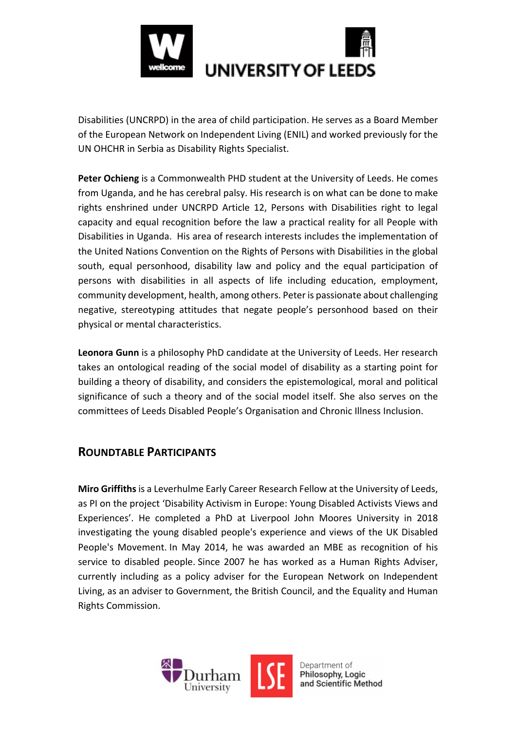

Disabilities (UNCRPD) in the area of child participation. He serves as a Board Member of the European Network on Independent Living (ENIL) and worked previously for the UN OHCHR in Serbia as Disability Rights Specialist.

**Peter Ochieng** is a Commonwealth PHD student at the University of Leeds. He comes from Uganda, and he has cerebral palsy. His research is on what can be done to make rights enshrined under UNCRPD Article 12, Persons with Disabilities right to legal capacity and equal recognition before the law a practical reality for all People with Disabilities in Uganda. His area of research interests includes the implementation of the United Nations Convention on the Rights of Persons with Disabilities in the global south, equal personhood, disability law and policy and the equal participation of persons with disabilities in all aspects of life including education, employment, community development, health, among others. Peter is passionate about challenging negative, stereotyping attitudes that negate people's personhood based on their physical or mental characteristics.

**Leonora Gunn** is a philosophy PhD candidate at the University of Leeds. Her research takes an ontological reading of the social model of disability as a starting point for building a theory of disability, and considers the epistemological, moral and political significance of such a theory and of the social model itself. She also serves on the committees of Leeds Disabled People's Organisation and Chronic Illness Inclusion.

## **ROUNDTABLE PARTICIPANTS**

**Miro Griffiths** is a Leverhulme Early Career Research Fellow at the University of Leeds, as PI on the project 'Disability Activism in Europe: Young Disabled Activists Views and Experiences'. He completed a PhD at Liverpool John Moores University in 2018 investigating the young disabled people's experience and views of the UK Disabled People's Movement. In May 2014, he was awarded an MBE as recognition of his service to disabled people. Since 2007 he has worked as a Human Rights Adviser, currently including as a policy adviser for the European Network on Independent Living, as an adviser to Government, the British Council, and the Equality and Human Rights Commission.